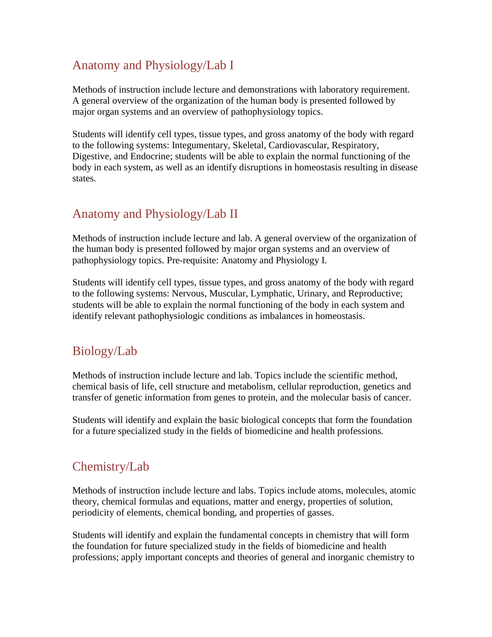# Anatomy and Physiology/Lab I

Methods of instruction include lecture and demonstrations with laboratory requirement. A general overview of the organization of the human body is presented followed by major organ systems and an overview of pathophysiology topics.

Students will identify cell types, tissue types, and gross anatomy of the body with regard to the following systems: Integumentary, Skeletal, Cardiovascular, Respiratory, Digestive, and Endocrine; students will be able to explain the normal functioning of the body in each system, as well as an identify disruptions in homeostasis resulting in disease states.

### Anatomy and Physiology/Lab II

Methods of instruction include lecture and lab. A general overview of the organization of the human body is presented followed by major organ systems and an overview of pathophysiology topics. Pre-requisite: Anatomy and Physiology I.

Students will identify cell types, tissue types, and gross anatomy of the body with regard to the following systems: Nervous, Muscular, Lymphatic, Urinary, and Reproductive; students will be able to explain the normal functioning of the body in each system and identify relevant pathophysiologic conditions as imbalances in homeostasis.

## Biology/Lab

Methods of instruction include lecture and lab. Topics include the scientific method, chemical basis of life, cell structure and metabolism, cellular reproduction, genetics and transfer of genetic information from genes to protein, and the molecular basis of cancer.

Students will identify and explain the basic biological concepts that form the foundation for a future specialized study in the fields of biomedicine and health professions.

#### Chemistry/Lab

Methods of instruction include lecture and labs. Topics include atoms, molecules, atomic theory, chemical formulas and equations, matter and energy, properties of solution, periodicity of elements, chemical bonding, and properties of gasses.

Students will identify and explain the fundamental concepts in chemistry that will form the foundation for future specialized study in the fields of biomedicine and health professions; apply important concepts and theories of general and inorganic chemistry to